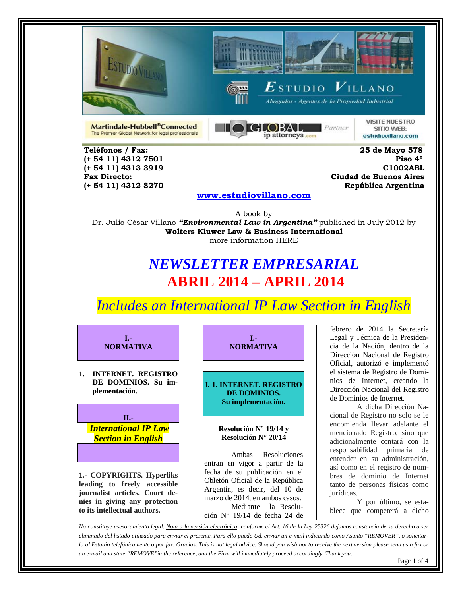





 $\boldsymbol{E}$ studio  $\boldsymbol{V}$ illano

Abogados - Agentes de la Propiedad Industrial

Martindale-Hubbell®Connected The Premier Global Network for legal professionals



**VISITE NUESTRO** SITIO WEB: estudiovillano.com

 **Teléfonos / Fax: 25 de Mayo 578 (+ 54 11) 4312 7501 (+ 54 11) 4312 8270 República Argentina** 

 **(+ 54 11) 4313 3919 C1002ABL Fax Directo: Ciudad de Buenos Aires**

### **[www.estudiovillano.com](http://www.estudiovillano.com/)**

A book by Dr. Julio César Villano *"Environmental Law in Argentina"* published in July 2012 by **Wolters Kluwer Law & Business International** more information HERE

## *NEWSLETTER EMPRESARIAL* **ABRIL 2014 – APRIL 2014**

*Includes an International IP Law Section in English* 



**nies in giving any protection to its intellectual authors.** 

**I.- NORMATIVA**

**I. 1. INTERNET. REGISTRO DE DOMINIOS. Su implementación.**

> **Resolución N° 19/14 y Resolución N° 20/14**

Ambas Resoluciones entran en vigor a partir de la fecha de su publicación en el Obletón Oficial de la República Argentin, es decir, del 10 de marzo de 2014, en ambos casos. Mediante la Resolución N° 19/14 de fecha 24 de

febrero de 2014 la Secretaría Legal y Técnica de la Presidencia de la Nación, dentro de la Dirección Nacional de Registro Oficial, autorizó e implementó el sistema de Registro de Dominios de Internet, creando la Dirección Nacional del Registro de Dominios de Internet.

A dicha Dirección Nacional de Registro no solo se le encomienda llevar adelante el mencionado Registro, sino que adicionalmente contará con la responsabilidad primaria de entender en su administración, así como en el registro de nombres de dominio de Internet tanto de personas físicas como jurídicas.

Y por último, se establece que competerá a dicho

*No constituye asesoramiento legal. Nota a la versión electrónica: conforme el Art. 16 de la Ley 25326 dejamos constancia de su derecho a ser eliminado del listado utilizado para enviar el presente. Para ello puede Ud. enviar un e-mail indicando como Asunto "REMOVER", o solicitarlo al Estudio telefónicamente o por fax. Gracias. This is not legal advice. Should you wish not to receive the next version please send us a fax or an e-mail and state "REMOVE"in the reference, and the Firm will immediately proceed accordingly. Thank you.*

Page 1 of 4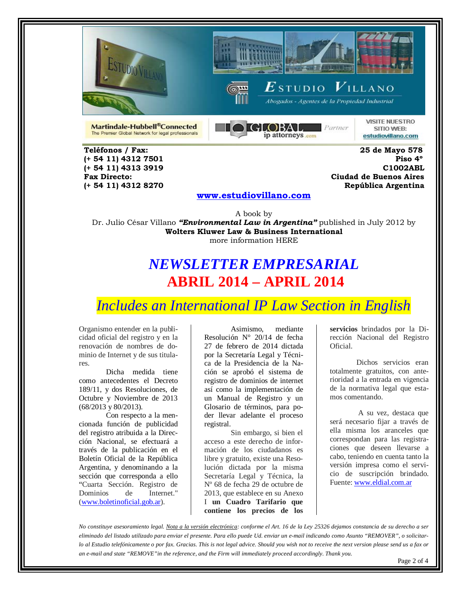





 $\boldsymbol{E}$ studio  $\boldsymbol{V}$ illano

Abogados - Agentes de la Propiedad Industrial

Martindale-Hubbell®Connected The Premier Global Network for legal professionals



**VISITE NUESTRO** SITIO WEB: estudiovillano.com

 **Teléfonos / Fax: 25 de Mayo 578 (+ 54 11) 4312 7501 (+ 54 11) 4312 8270 República Argentina** 

 **(+ 54 11) 4313 3919 C1002ABL Fax Directo: Ciudad de Buenos Aires**

#### **[www.estudiovillano.com](http://www.estudiovillano.com/)**

A book by

Dr. Julio César Villano *"Environmental Law in Argentina"* published in July 2012 by **Wolters Kluwer Law & Business International** more information HERE

## *NEWSLETTER EMPRESARIAL* **ABRIL 2014 – APRIL 2014**

*Includes an International IP Law Section in English* 

Organismo entender en la publicidad oficial del registro y en la renovación de nombres de dominio de Internet y de sus titulares.

Dicha medida tiene como antecedentes el Decreto 189/11, y dos Resoluciones, de Octubre y Noviembre de 2013 (68/2013 y 80/2013).

Con respecto a la mencionada función de publicidad del registro atribuida a la Dirección Nacional, se efectuará a través de la publicación en el Boletín Oficial de la República Argentina, y denominando a la sección que corresponda a ello "Cuarta Sección. Registro de Dominios de [\(www.boletinoficial.gob.ar\)](http://www.boletinoficial.gob.ar/).

Asimismo, mediante Resolución N° 20/14 de fecha 27 de febrero de 2014 dictada por la Secretaría Legal y Técnica de la Presidencia de la Nación se aprobó el sistema de registro de dominios de internet así como la implementación de un Manual de Registro y un Glosario de términos, para poder llevar adelante el proceso registral.

Sin embargo, si bien el acceso a este derecho de información de los ciudadanos es libre y gratuito, existe una Resolución dictada por la misma Secretaría Legal y Técnica, la Nº 68 de fecha 29 de octubre de 2013, que establece en su Anexo I **un Cuadro Tarifario que contiene los precios de los** 

**servicios** brindados por la Dirección Nacional del Registro Oficial.

Dichos servicios eran totalmente gratuitos, con anterioridad a la entrada en vigencia de la normativa legal que estamos comentando.

A su vez, destaca que será necesario fijar a través de ella misma los aranceles que correspondan para las registraciones que deseen llevarse a cabo, teniendo en cuenta tanto la versión impresa como el servicio de suscripción brindado. Fuente[: www.eldial.com.ar](http://www.eldial.com.ar/)

*No constituye asesoramiento legal. Nota a la versión electrónica: conforme el Art. 16 de la Ley 25326 dejamos constancia de su derecho a ser eliminado del listado utilizado para enviar el presente. Para ello puede Ud. enviar un e-mail indicando como Asunto "REMOVER", o solicitarlo al Estudio telefónicamente o por fax. Gracias. This is not legal advice. Should you wish not to receive the next version please send us a fax or an e-mail and state "REMOVE"in the reference, and the Firm will immediately proceed accordingly. Thank you.*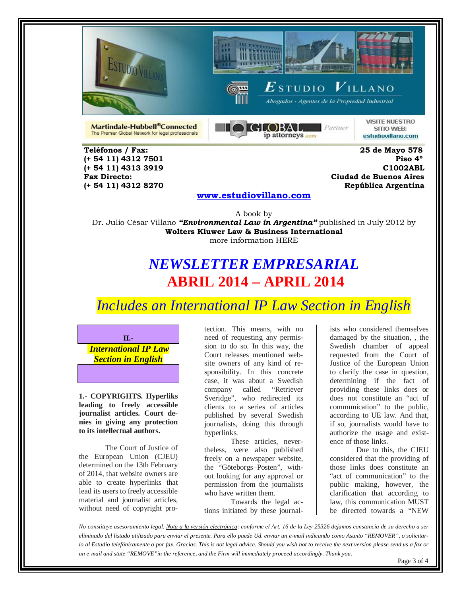





 $\boldsymbol{E}$ studio  $\boldsymbol{V}$ illano Abogados - Agentes de la Propiedad Industrial

Martindale-Hubbell®Connected The Premier Global Network for legal professionals



**VISITE NUESTRO** SITIO WEB: estudiovillano.com

 **Teléfonos / Fax: 25 de Mayo 578 (+ 54 11) 4312 7501 (+ 54 11) 4312 8270 República Argentina** 

 **(+ 54 11) 4313 3919 C1002ABL Fax Directo: Ciudad de Buenos Aires**

#### **[www.estudiovillano.com](http://www.estudiovillano.com/)**

A book by Dr. Julio César Villano *"Environmental Law in Argentina"* published in July 2012 by **Wolters Kluwer Law & Business International** more information HERE

# *NEWSLETTER EMPRESARIAL* **ABRIL 2014 – APRIL 2014**

*Includes an International IP Law Section in English* 



**1.- COPYRIGHTS. Hyperliks leading to freely accessible journalist articles. Court denies in giving any protection to its intellectual authors.** 

The Court of Justice of the European Union (CJEU) determined on the 13th February of 2014, that website owners are able to create hyperlinks that lead its users to freely accessible material and journalist articles, without need of copyright pro-

tection. This means, with no need of requesting any permission to do so. In this way, the Court releases mentioned website owners of any kind of responsibility. In this concrete case, it was about a Swedish company called "Retriever Sveridge", who redirected its clients to a series of articles published by several Swedish journalists, doing this through hyperlinks.

These articles, nevertheless, were also published freely on a newspaper website, the "Göteborgs–Posten", without looking for any approval or permission from the journalists who have written them.

Towards the legal actions initiated by these journalists who considered themselves damaged by the situation, , the Swedish chamber of appeal requested from the Court of Justice of the European Union to clarify the case in question, determining if the fact of providing these links does or does not constitute an "act of communication" to the public, according to UE law. And that, if so, journalists would have to authorize the usage and existence of those links.

Due to this, the CJEU considered that the providing of those links does constitute an "act of communication" to the public making, however, the clarification that according to law, this communication MUST be directed towards a "NEW

*No constituye asesoramiento legal. Nota a la versión electrónica: conforme el Art. 16 de la Ley 25326 dejamos constancia de su derecho a ser eliminado del listado utilizado para enviar el presente. Para ello puede Ud. enviar un e-mail indicando como Asunto "REMOVER", o solicitarlo al Estudio telefónicamente o por fax. Gracias. This is not legal advice. Should you wish not to receive the next version please send us a fax or an e-mail and state "REMOVE"in the reference, and the Firm will immediately proceed accordingly. Thank you.* Page 3 of 4